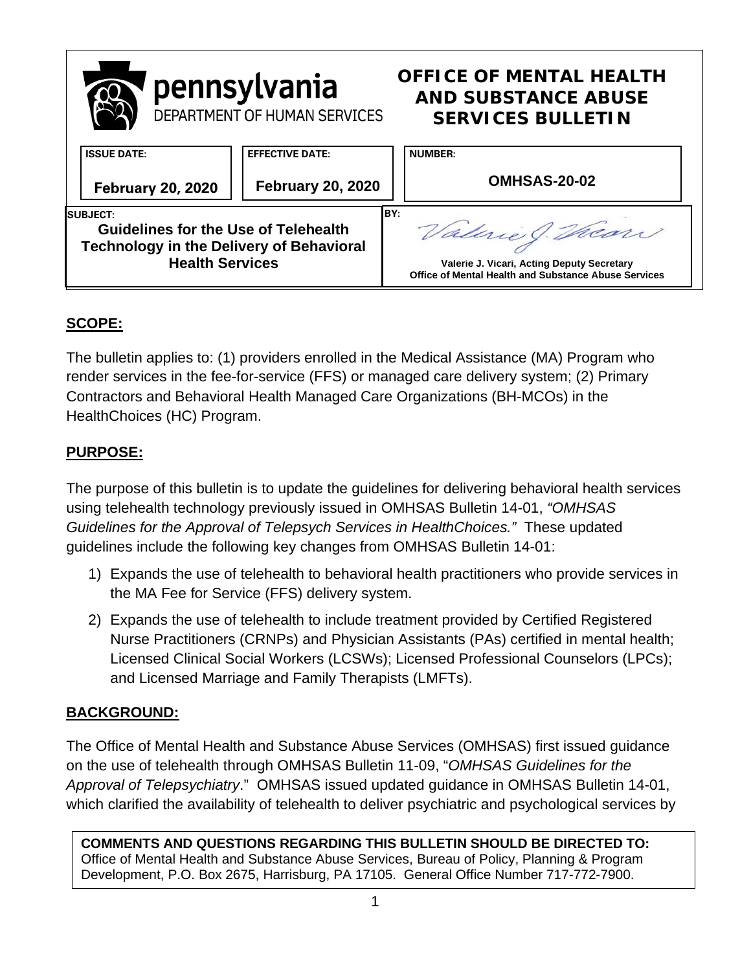

# **SCOPE:**

The bulletin applies to: (1) providers enrolled in the Medical Assistance (MA) Program who render services in the fee-for-service (FFS) or managed care delivery system; (2) Primary Contractors and Behavioral Health Managed Care Organizations (BH-MCOs) in the HealthChoices (HC) Program.

# **PURPOSE:**

The purpose of this bulletin is to update the guidelines for delivering behavioral health services using telehealth technology previously issued in OMHSAS Bulletin 14-01, *"OMHSAS Guidelines for the Approval of Telepsych Services in HealthChoices."* These updated guidelines include the following key changes from OMHSAS Bulletin 14-01:

- 1) Expands the use of telehealth to behavioral health practitioners who provide services in the MA Fee for Service (FFS) delivery system.
- 2) Expands the use of telehealth to include treatment provided by Certified Registered Nurse Practitioners (CRNPs) and Physician Assistants (PAs) certified in mental health; Licensed Clinical Social Workers (LCSWs); Licensed Professional Counselors (LPCs); and Licensed Marriage and Family Therapists (LMFTs).

# **BACKGROUND:**

The Office of Mental Health and Substance Abuse Services (OMHSAS) first issued guidance on the use of telehealth through OMHSAS Bulletin 11-09, "*OMHSAS Guidelines for the Approval of Telepsychiatry*." OMHSAS issued updated guidance in OMHSAS Bulletin 14-01, which clarified the availability of telehealth to deliver psychiatric and psychological services by

**COMMENTS AND QUESTIONS REGARDING THIS BULLETIN SHOULD BE DIRECTED TO:**  Office of Mental Health and Substance Abuse Services, Bureau of Policy, Planning & Program Development, P.O. Box 2675, Harrisburg, PA 17105. General Office Number 717-772-7900.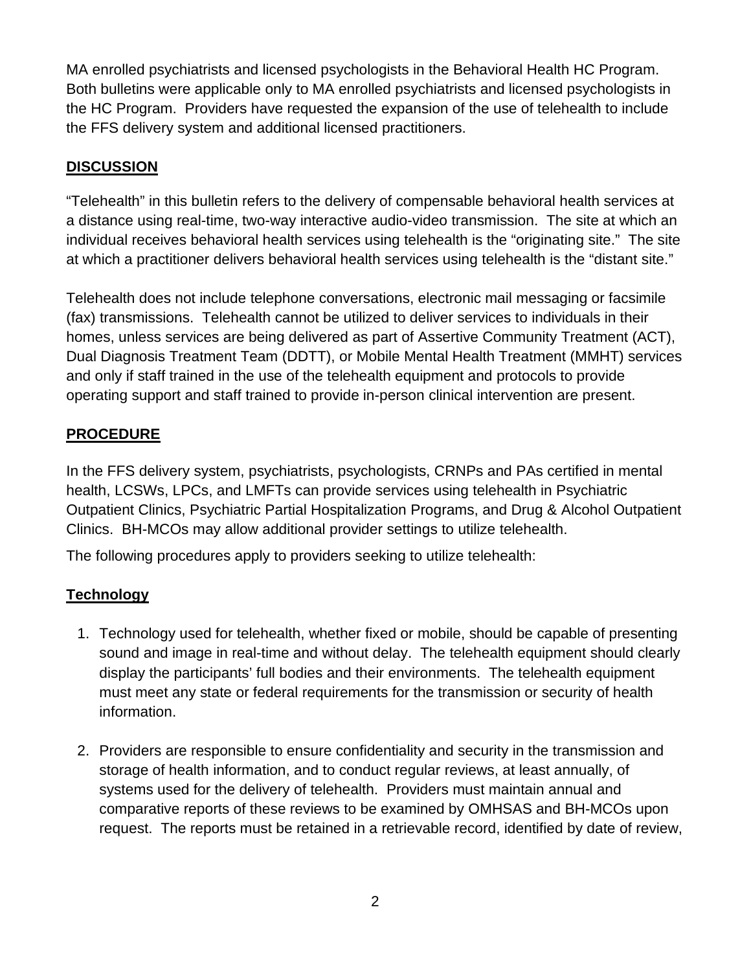MA enrolled psychiatrists and licensed psychologists in the Behavioral Health HC Program. Both bulletins were applicable only to MA enrolled psychiatrists and licensed psychologists in the HC Program. Providers have requested the expansion of the use of telehealth to include the FFS delivery system and additional licensed practitioners.

# **DISCUSSION**

"Telehealth" in this bulletin refers to the delivery of compensable behavioral health services at a distance using real-time, two-way interactive audio-video transmission. The site at which an individual receives behavioral health services using telehealth is the "originating site." The site at which a practitioner delivers behavioral health services using telehealth is the "distant site."

Telehealth does not include telephone conversations, electronic mail messaging or facsimile (fax) transmissions. Telehealth cannot be utilized to deliver services to individuals in their homes, unless services are being delivered as part of Assertive Community Treatment (ACT), Dual Diagnosis Treatment Team (DDTT), or Mobile Mental Health Treatment (MMHT) services and only if staff trained in the use of the telehealth equipment and protocols to provide operating support and staff trained to provide in-person clinical intervention are present.

### **PROCEDURE**

In the FFS delivery system, psychiatrists, psychologists, CRNPs and PAs certified in mental health, LCSWs, LPCs, and LMFTs can provide services using telehealth in Psychiatric Outpatient Clinics, Psychiatric Partial Hospitalization Programs, and Drug & Alcohol Outpatient Clinics. BH-MCOs may allow additional provider settings to utilize telehealth.

The following procedures apply to providers seeking to utilize telehealth:

# **Technology**

- 1. Technology used for telehealth, whether fixed or mobile, should be capable of presenting sound and image in real-time and without delay. The telehealth equipment should clearly display the participants' full bodies and their environments. The telehealth equipment must meet any state or federal requirements for the transmission or security of health information.
- 2. Providers are responsible to ensure confidentiality and security in the transmission and storage of health information, and to conduct regular reviews, at least annually, of systems used for the delivery of telehealth. Providers must maintain annual and comparative reports of these reviews to be examined by OMHSAS and BH-MCOs upon request. The reports must be retained in a retrievable record, identified by date of review,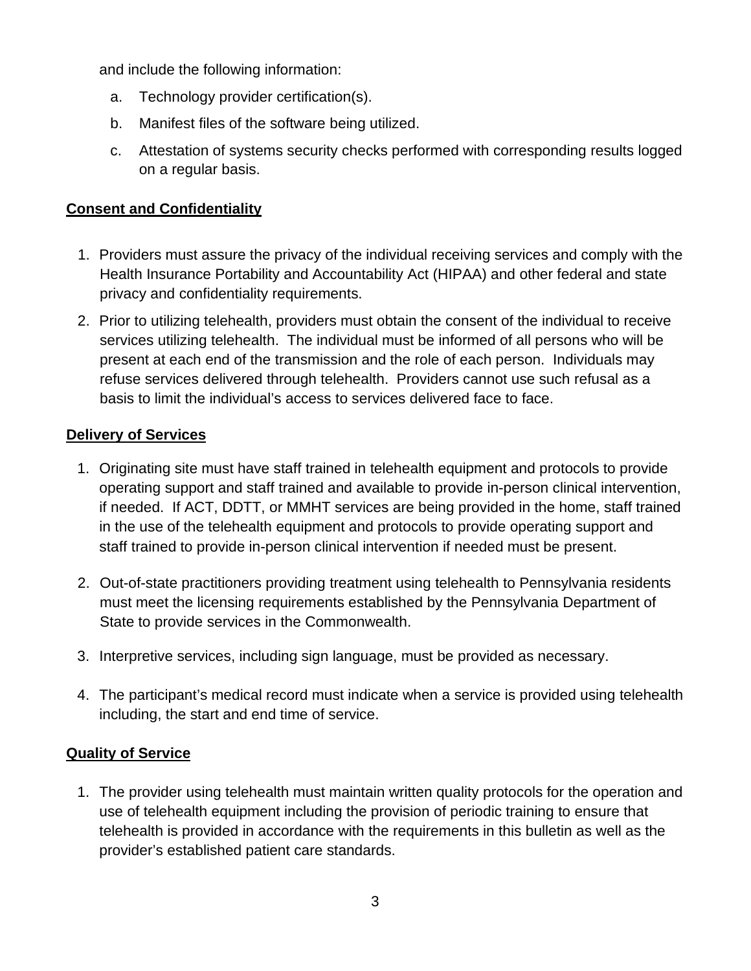and include the following information:

- a. Technology provider certification(s).
- b. Manifest files of the software being utilized.
- c. Attestation of systems security checks performed with corresponding results logged on a regular basis.

### **Consent and Confidentiality**

- 1. Providers must assure the privacy of the individual receiving services and comply with the Health Insurance Portability and Accountability Act (HIPAA) and other federal and state privacy and confidentiality requirements.
- 2. Prior to utilizing telehealth, providers must obtain the consent of the individual to receive services utilizing telehealth. The individual must be informed of all persons who will be present at each end of the transmission and the role of each person. Individuals may refuse services delivered through telehealth. Providers cannot use such refusal as a basis to limit the individual's access to services delivered face to face.

#### **Delivery of Services**

- 1. Originating site must have staff trained in telehealth equipment and protocols to provide operating support and staff trained and available to provide in-person clinical intervention, if needed. If ACT, DDTT, or MMHT services are being provided in the home, staff trained in the use of the telehealth equipment and protocols to provide operating support and staff trained to provide in-person clinical intervention if needed must be present.
- 2. Out-of-state practitioners providing treatment using telehealth to Pennsylvania residents must meet the licensing requirements established by the Pennsylvania Department of State to provide services in the Commonwealth.
- 3. Interpretive services, including sign language, must be provided as necessary.
- 4. The participant's medical record must indicate when a service is provided using telehealth including, the start and end time of service.

# **Quality of Service**

1. The provider using telehealth must maintain written quality protocols for the operation and use of telehealth equipment including the provision of periodic training to ensure that telehealth is provided in accordance with the requirements in this bulletin as well as the provider's established patient care standards.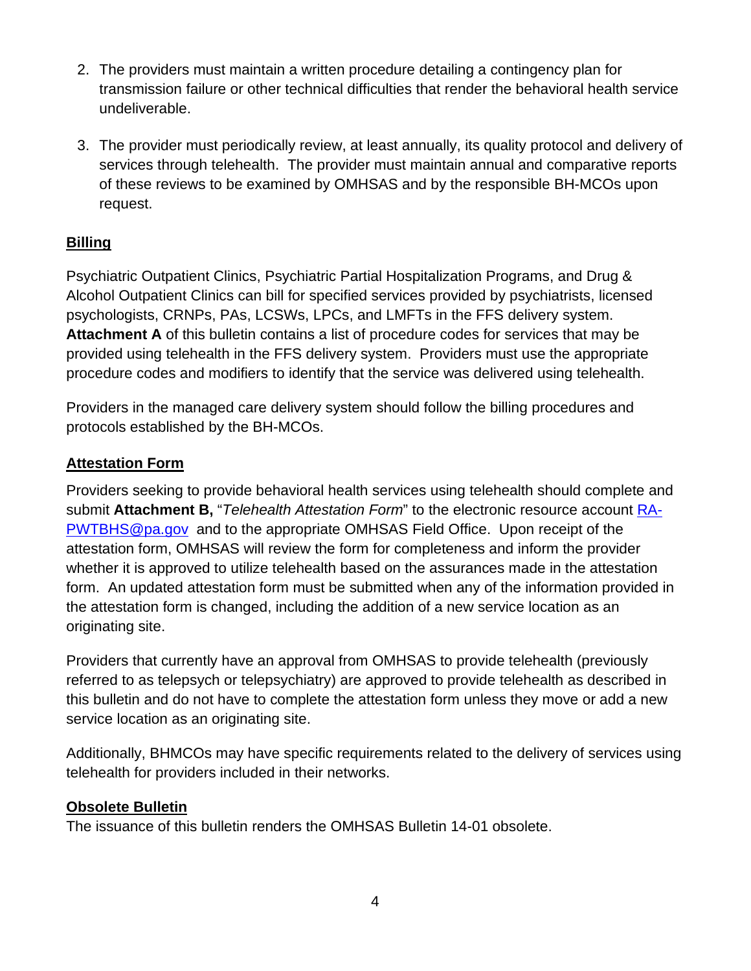- 2. The providers must maintain a written procedure detailing a contingency plan for transmission failure or other technical difficulties that render the behavioral health service undeliverable.
- 3. The provider must periodically review, at least annually, its quality protocol and delivery of services through telehealth. The provider must maintain annual and comparative reports of these reviews to be examined by OMHSAS and by the responsible BH-MCOs upon request.

# **Billing**

Psychiatric Outpatient Clinics, Psychiatric Partial Hospitalization Programs, and Drug & Alcohol Outpatient Clinics can bill for specified services provided by psychiatrists, licensed psychologists, CRNPs, PAs, LCSWs, LPCs, and LMFTs in the FFS delivery system. **Attachment A** of this bulletin contains a list of procedure codes for services that may be provided using telehealth in the FFS delivery system. Providers must use the appropriate procedure codes and modifiers to identify that the service was delivered using telehealth.

Providers in the managed care delivery system should follow the billing procedures and protocols established by the BH-MCOs.

# **Attestation Form**

Providers seeking to provide behavioral health services using telehealth should complete and submit **Attachment B,** "*Telehealth Attestation Form*" to the electronic resource account [RA-](mailto:RA-PWTBHS@pa.gov)[PWTBHS@pa.gov](mailto:RA-PWTBHS@pa.gov) and to the appropriate OMHSAS Field Office. Upon receipt of the attestation form, OMHSAS will review the form for completeness and inform the provider whether it is approved to utilize telehealth based on the assurances made in the attestation form. An updated attestation form must be submitted when any of the information provided in the attestation form is changed, including the addition of a new service location as an originating site.

Providers that currently have an approval from OMHSAS to provide telehealth (previously referred to as telepsych or telepsychiatry) are approved to provide telehealth as described in this bulletin and do not have to complete the attestation form unless they move or add a new service location as an originating site.

Additionally, BHMCOs may have specific requirements related to the delivery of services using telehealth for providers included in their networks.

#### **Obsolete Bulletin**

The issuance of this bulletin renders the OMHSAS Bulletin 14-01 obsolete.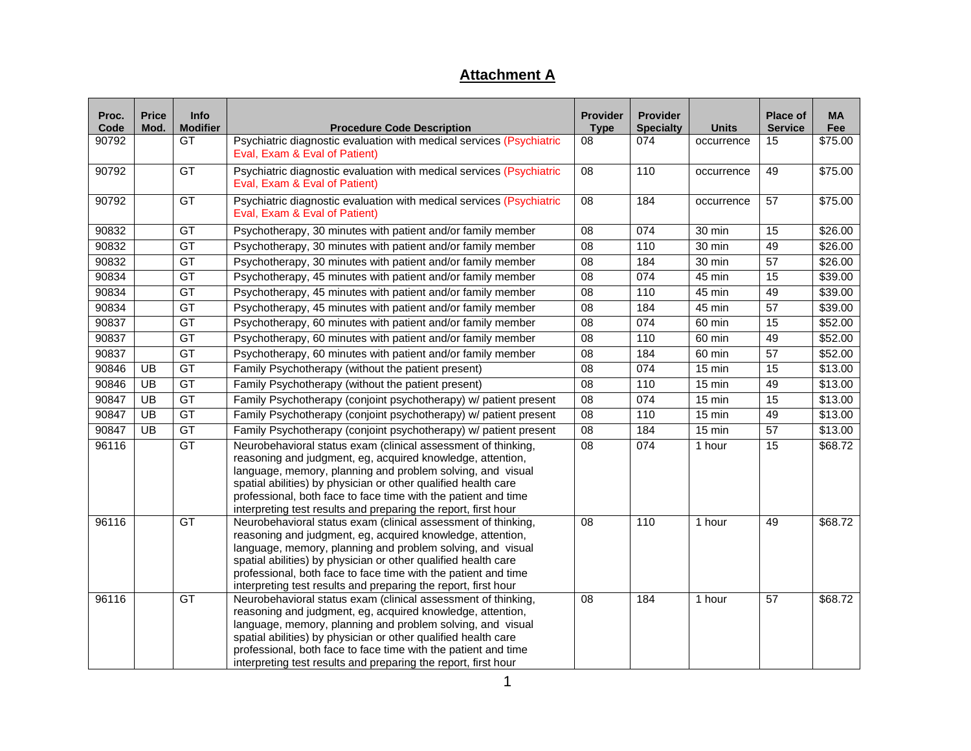# **Attachment A**

| Proc.<br>Code | <b>Price</b><br>Mod. | <b>Info</b><br><b>Modifier</b> | <b>Procedure Code Description</b>                                                                                                                                                                                                                                                                                                                                                               | <b>Provider</b><br><b>Type</b> | <b>Provider</b><br><b>Specialty</b> | <b>Units</b>    | <b>Place of</b><br><b>Service</b> | <b>MA</b><br>Fee |
|---------------|----------------------|--------------------------------|-------------------------------------------------------------------------------------------------------------------------------------------------------------------------------------------------------------------------------------------------------------------------------------------------------------------------------------------------------------------------------------------------|--------------------------------|-------------------------------------|-----------------|-----------------------------------|------------------|
| 90792         |                      | <b>GT</b>                      | Psychiatric diagnostic evaluation with medical services (Psychiatric<br>Eval, Exam & Eval of Patient)                                                                                                                                                                                                                                                                                           | 08                             | 074                                 | occurrence      | 15                                | \$75.00          |
| 90792         |                      | GT                             | Psychiatric diagnostic evaluation with medical services (Psychiatric<br>Eval, Exam & Eval of Patient)                                                                                                                                                                                                                                                                                           | $\overline{08}$                | 110                                 | occurrence      | 49                                | \$75.00          |
| 90792         |                      | GT                             | Psychiatric diagnostic evaluation with medical services (Psychiatric<br>Eval, Exam & Eval of Patient)                                                                                                                                                                                                                                                                                           | 08<br>184<br>occurrence        |                                     | $\overline{57}$ | \$75.00                           |                  |
| 90832         |                      | GT                             | Psychotherapy, 30 minutes with patient and/or family member                                                                                                                                                                                                                                                                                                                                     | 08                             | 074                                 | 30 min          | 15                                | $\sqrt{$26.00}$  |
| 90832         |                      | GT                             | Psychotherapy, 30 minutes with patient and/or family member                                                                                                                                                                                                                                                                                                                                     | 08                             | 110                                 | 30 min          | 49                                | \$26.00          |
| 90832         |                      | GT                             | Psychotherapy, 30 minutes with patient and/or family member                                                                                                                                                                                                                                                                                                                                     | 08                             | 184                                 | 30 min          | $\overline{57}$                   | \$26.00          |
| 90834         |                      | GT                             | Psychotherapy, 45 minutes with patient and/or family member                                                                                                                                                                                                                                                                                                                                     | 08                             | 074                                 | 45 min          | 15                                | \$39.00          |
| 90834         |                      | GT                             | Psychotherapy, 45 minutes with patient and/or family member                                                                                                                                                                                                                                                                                                                                     | 08                             | 110                                 | 45 min          | 49                                | \$39.00          |
| 90834         |                      | GT                             | Psychotherapy, 45 minutes with patient and/or family member                                                                                                                                                                                                                                                                                                                                     | 08                             | 184                                 | 45 min          | 57                                | \$39.00          |
| 90837         |                      | GT                             | Psychotherapy, 60 minutes with patient and/or family member                                                                                                                                                                                                                                                                                                                                     | 08                             | 074                                 | 60 min          | 15                                | \$52.00          |
| 90837         |                      | GT                             | Psychotherapy, 60 minutes with patient and/or family member                                                                                                                                                                                                                                                                                                                                     | 08                             | 110                                 | 60 min          | 49                                | \$52.00          |
| 90837         |                      | GT                             | Psychotherapy, 60 minutes with patient and/or family member                                                                                                                                                                                                                                                                                                                                     | 08                             | 184                                 | 60 min          | $\overline{57}$                   | \$52.00          |
| 90846         | UB                   | GT                             | Family Psychotherapy (without the patient present)                                                                                                                                                                                                                                                                                                                                              | 08                             | 074                                 | 15 min          | 15                                | \$13.00          |
| 90846         | UB                   | GT                             | Family Psychotherapy (without the patient present)                                                                                                                                                                                                                                                                                                                                              | 08                             | 110                                 | 15 min          | 49                                | \$13.00          |
| 90847         | $\overline{UB}$      | GT                             | Family Psychotherapy (conjoint psychotherapy) w/ patient present                                                                                                                                                                                                                                                                                                                                | 08                             | 074                                 | 15 min          | $\overline{15}$                   | \$13.00          |
| 90847         | UB                   | GT                             | Family Psychotherapy (conjoint psychotherapy) w/ patient present                                                                                                                                                                                                                                                                                                                                | 08                             | 110                                 | 15 min          | 49                                | \$13.00          |
| 90847         | UB                   | GT                             | Family Psychotherapy (conjoint psychotherapy) w/ patient present                                                                                                                                                                                                                                                                                                                                | 08                             | 184                                 | 15 min          | $\overline{57}$                   | \$13.00          |
| 96116         |                      | GT                             | Neurobehavioral status exam (clinical assessment of thinking,<br>reasoning and judgment, eg, acquired knowledge, attention,<br>language, memory, planning and problem solving, and visual<br>spatial abilities) by physician or other qualified health care<br>professional, both face to face time with the patient and time<br>interpreting test results and preparing the report, first hour | 08                             | 074                                 | 1 hour          | $\overline{15}$                   | \$68.72          |
| 96116         |                      | <b>GT</b>                      | Neurobehavioral status exam (clinical assessment of thinking,<br>reasoning and judgment, eg, acquired knowledge, attention,<br>language, memory, planning and problem solving, and visual<br>spatial abilities) by physician or other qualified health care<br>professional, both face to face time with the patient and time<br>interpreting test results and preparing the report, first hour | 08                             | 110                                 | 1 hour          | 49                                | \$68.72          |
| 96116         |                      | GT                             | Neurobehavioral status exam (clinical assessment of thinking,<br>reasoning and judgment, eg, acquired knowledge, attention,<br>language, memory, planning and problem solving, and visual<br>spatial abilities) by physician or other qualified health care<br>professional, both face to face time with the patient and time<br>interpreting test results and preparing the report, first hour | 08                             | 184                                 | 1 hour          | $\overline{57}$                   | \$68.72          |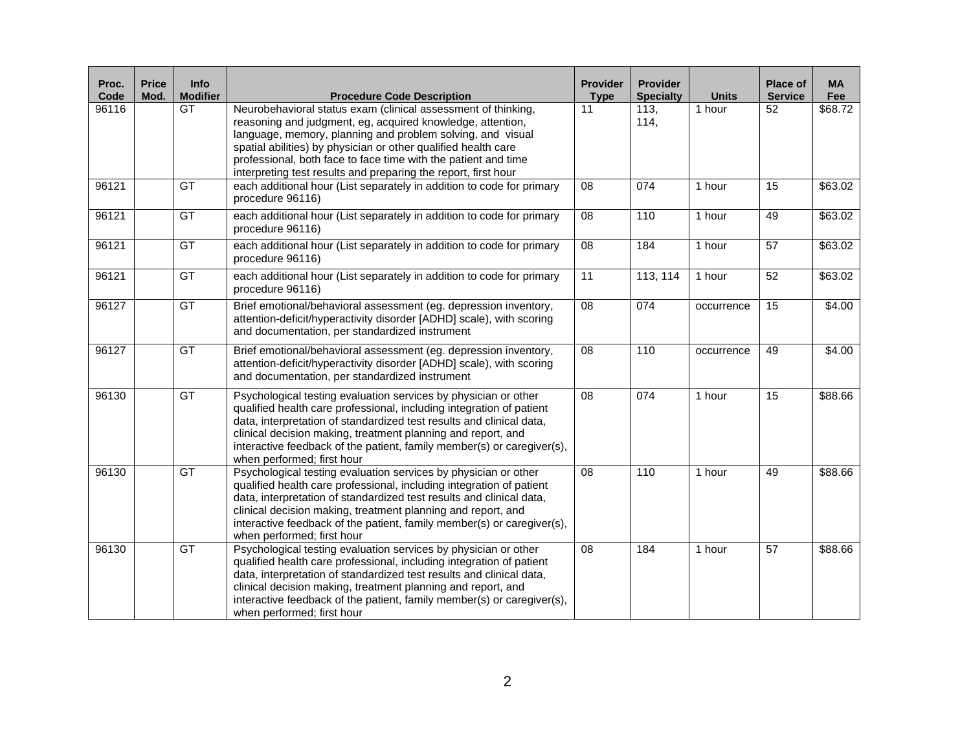| Proc.<br>Code | <b>Price</b><br>Mod. | <b>Info</b><br><b>Modifier</b> | <b>Procedure Code Description</b>                                                                                                                                                                                                                                                                                                                                                               | <b>Provider</b><br><b>Type</b> | <b>Provider</b><br><b>Specialty</b> | <b>Units</b> | <b>Place of</b><br><b>Service</b> | <b>MA</b><br>Fee |
|---------------|----------------------|--------------------------------|-------------------------------------------------------------------------------------------------------------------------------------------------------------------------------------------------------------------------------------------------------------------------------------------------------------------------------------------------------------------------------------------------|--------------------------------|-------------------------------------|--------------|-----------------------------------|------------------|
| 96116         |                      | $\overline{GT}$                | Neurobehavioral status exam (clinical assessment of thinking,<br>reasoning and judgment, eg, acquired knowledge, attention,<br>language, memory, planning and problem solving, and visual<br>spatial abilities) by physician or other qualified health care<br>professional, both face to face time with the patient and time<br>interpreting test results and preparing the report, first hour | 11                             | 113,<br>114,                        | 1 hour       | 52                                | \$68.72          |
| 96121         |                      | GT                             | each additional hour (List separately in addition to code for primary<br>procedure 96116)                                                                                                                                                                                                                                                                                                       | 08                             | 074                                 | 1 hour       | 15                                | \$63.02          |
| 96121         |                      | GT                             | each additional hour (List separately in addition to code for primary<br>procedure 96116)                                                                                                                                                                                                                                                                                                       | 08                             | 110                                 | 1 hour       | 49                                | \$63.02          |
| 96121         |                      | GT                             | each additional hour (List separately in addition to code for primary<br>procedure 96116)                                                                                                                                                                                                                                                                                                       | 08                             | 184                                 | 1 hour       | 57                                | \$63.02          |
| 96121         |                      | GT                             | each additional hour (List separately in addition to code for primary<br>procedure 96116)                                                                                                                                                                                                                                                                                                       | $\overline{11}$                | 113, 114                            | 1 hour       | 52                                | \$63.02          |
| 96127         |                      | GT                             | Brief emotional/behavioral assessment (eg. depression inventory,<br>attention-deficit/hyperactivity disorder [ADHD] scale), with scoring<br>and documentation, per standardized instrument                                                                                                                                                                                                      | $\overline{08}$                | 074                                 | occurrence   | 15                                | \$4.00           |
| 96127         |                      | GT                             | Brief emotional/behavioral assessment (eg. depression inventory,<br>attention-deficit/hyperactivity disorder [ADHD] scale), with scoring<br>and documentation, per standardized instrument                                                                                                                                                                                                      | 08                             | 110                                 | occurrence   | 49                                | \$4.00           |
| 96130         |                      | GT                             | Psychological testing evaluation services by physician or other<br>qualified health care professional, including integration of patient<br>data, interpretation of standardized test results and clinical data,<br>clinical decision making, treatment planning and report, and<br>interactive feedback of the patient, family member(s) or caregiver(s),<br>when performed; first hour         | 08                             | 074                                 | 1 hour       | 15                                | \$88.66          |
| 96130         |                      | GT                             | Psychological testing evaluation services by physician or other<br>qualified health care professional, including integration of patient<br>data, interpretation of standardized test results and clinical data,<br>clinical decision making, treatment planning and report, and<br>interactive feedback of the patient, family member(s) or caregiver(s),<br>when performed; first hour         | 08                             | 110                                 | 1 hour       | 49                                | \$88.66          |
| 96130         |                      | GT                             | Psychological testing evaluation services by physician or other<br>qualified health care professional, including integration of patient<br>data, interpretation of standardized test results and clinical data,<br>clinical decision making, treatment planning and report, and<br>interactive feedback of the patient, family member(s) or caregiver(s),<br>when performed; first hour         | 08                             | 184                                 | 1 hour       | 57                                | \$88.66          |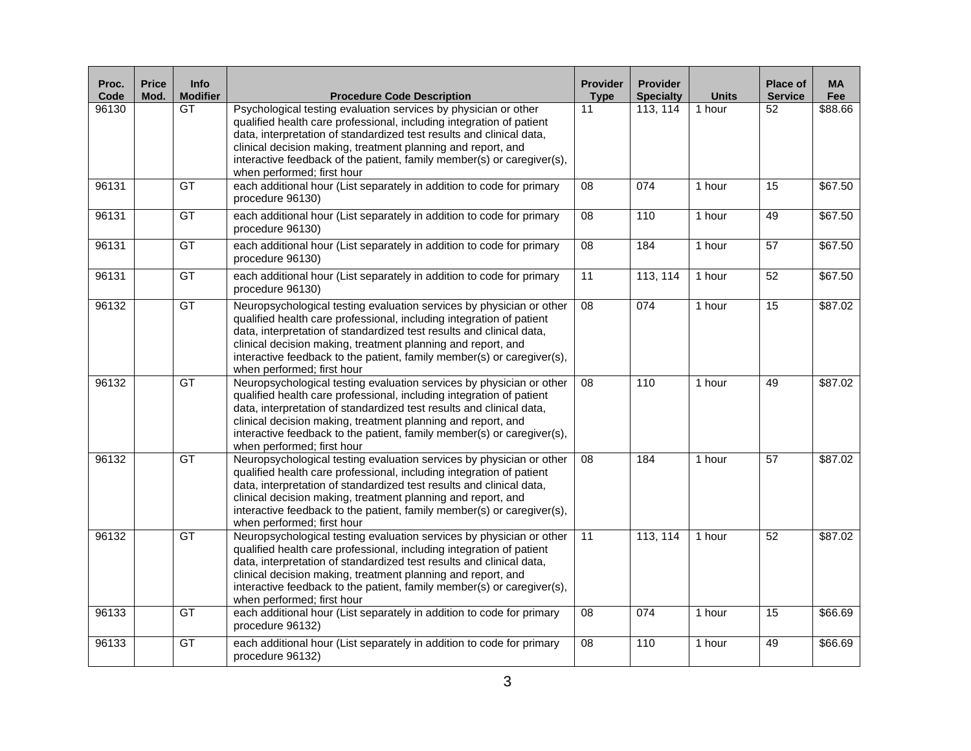| Proc.<br>Code | <b>Price</b><br>Mod. | <b>Info</b><br><b>Modifier</b> | <b>Procedure Code Description</b>                                                                                                                                                                                                                                                                                                                                                            | <b>Provider</b><br><b>Type</b> | <b>Provider</b><br><b>Specialty</b> | <b>Units</b> | Place of<br><b>Service</b> | <b>MA</b><br>Fee |
|---------------|----------------------|--------------------------------|----------------------------------------------------------------------------------------------------------------------------------------------------------------------------------------------------------------------------------------------------------------------------------------------------------------------------------------------------------------------------------------------|--------------------------------|-------------------------------------|--------------|----------------------------|------------------|
| 96130         |                      | GT                             | Psychological testing evaluation services by physician or other<br>qualified health care professional, including integration of patient<br>data, interpretation of standardized test results and clinical data,<br>clinical decision making, treatment planning and report, and<br>interactive feedback of the patient, family member(s) or caregiver(s),<br>when performed; first hour      | 11                             | 113, 114                            | 1 hour       | 52                         | \$88.66          |
| 96131         |                      | GT                             | each additional hour (List separately in addition to code for primary<br>procedure 96130)                                                                                                                                                                                                                                                                                                    | 08                             | 074                                 | 1 hour       | 15                         | \$67.50          |
| 96131         |                      | GT                             | each additional hour (List separately in addition to code for primary<br>procedure 96130)                                                                                                                                                                                                                                                                                                    | 08                             | 110                                 | 1 hour       | 49                         | \$67.50          |
| 96131         |                      | GT                             | each additional hour (List separately in addition to code for primary<br>procedure 96130)                                                                                                                                                                                                                                                                                                    | 08                             | 184                                 | 1 hour       | 57                         | \$67.50          |
| 96131         |                      | GT                             | each additional hour (List separately in addition to code for primary<br>procedure 96130)                                                                                                                                                                                                                                                                                                    | $\overline{11}$                | 113, 114                            | 1 hour       | $\overline{52}$            | \$67.50          |
| 96132         |                      | GT                             | Neuropsychological testing evaluation services by physician or other<br>qualified health care professional, including integration of patient<br>data, interpretation of standardized test results and clinical data,<br>clinical decision making, treatment planning and report, and<br>interactive feedback to the patient, family member(s) or caregiver(s),<br>when performed; first hour | $\overline{08}$                | 074                                 | 1 hour       | 15                         | \$87.02          |
| 96132         |                      | GT                             | Neuropsychological testing evaluation services by physician or other<br>qualified health care professional, including integration of patient<br>data, interpretation of standardized test results and clinical data,<br>clinical decision making, treatment planning and report, and<br>interactive feedback to the patient, family member(s) or caregiver(s),<br>when performed; first hour | 08                             | 110                                 | 1 hour       | 49                         | \$87.02          |
| 96132         |                      | GT                             | Neuropsychological testing evaluation services by physician or other<br>qualified health care professional, including integration of patient<br>data, interpretation of standardized test results and clinical data,<br>clinical decision making, treatment planning and report, and<br>interactive feedback to the patient, family member(s) or caregiver(s),<br>when performed; first hour | 08                             | 184                                 | 1 hour       | $\overline{57}$            | \$87.02          |
| 96132         |                      | GT                             | Neuropsychological testing evaluation services by physician or other<br>qualified health care professional, including integration of patient<br>data, interpretation of standardized test results and clinical data,<br>clinical decision making, treatment planning and report, and<br>interactive feedback to the patient, family member(s) or caregiver(s),<br>when performed; first hour | $\overline{11}$                | 113, 114                            | 1 hour       | 52                         | \$87.02          |
| 96133         |                      | GT                             | each additional hour (List separately in addition to code for primary<br>procedure 96132)                                                                                                                                                                                                                                                                                                    | 08                             | 074                                 | 1 hour       | 15                         | \$66.69          |
| 96133         |                      | GT                             | each additional hour (List separately in addition to code for primary<br>procedure 96132)                                                                                                                                                                                                                                                                                                    | 08                             | 110                                 | 1 hour       | 49                         | \$66.69          |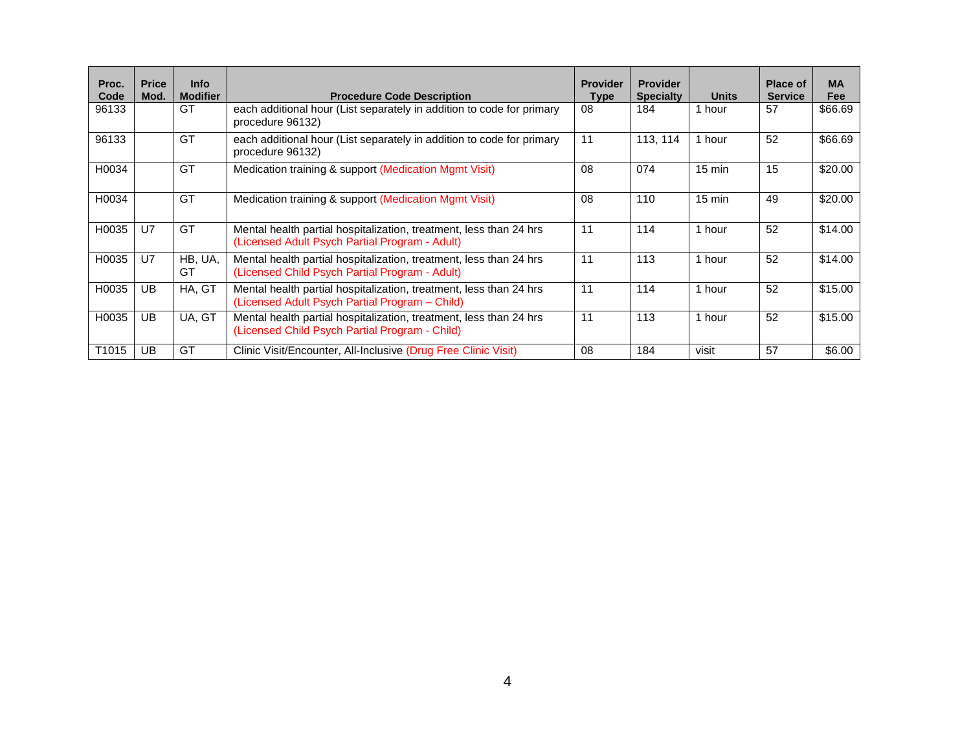| Proc.<br>Code | <b>Price</b><br>Mod. | <b>Info</b><br><b>Modifier</b> | <b>Procedure Code Description</b>                                                                                    | <b>Provider</b><br>Type | <b>Provider</b><br><b>Specialty</b> | <b>Units</b>     | Place of<br><b>Service</b> | <b>MA</b><br><b>Fee</b> |
|---------------|----------------------|--------------------------------|----------------------------------------------------------------------------------------------------------------------|-------------------------|-------------------------------------|------------------|----------------------------|-------------------------|
| 96133         |                      | GT                             | each additional hour (List separately in addition to code for primary<br>procedure 96132)                            | 08                      | 184                                 | 1 hour           | 57                         | \$66.69                 |
| 96133         |                      | GT                             | each additional hour (List separately in addition to code for primary<br>procedure 96132)                            | 11                      | 113, 114                            | 1 hour           | 52                         | \$66.69                 |
| H0034         |                      | GT                             | Medication training & support (Medication Mgmt Visit)                                                                | 08                      | 074                                 | $15 \text{ min}$ | 15                         | \$20.00                 |
| H0034         |                      | GT                             | Medication training & support (Medication Mgmt Visit)                                                                | 08                      | 110                                 | $15 \text{ min}$ | 49                         | \$20.00                 |
| H0035         | U <sub>7</sub>       | GT                             | Mental health partial hospitalization, treatment, less than 24 hrs<br>(Licensed Adult Psych Partial Program - Adult) | 11                      | 114                                 | 1 hour           | 52                         | \$14.00                 |
| H0035         | U <sub>7</sub>       | HB, UA,<br>GT                  | Mental health partial hospitalization, treatment, less than 24 hrs<br>(Licensed Child Psych Partial Program - Adult) | 11                      | 113                                 | 1 hour           | 52                         | \$14.00                 |
| H0035         | UB                   | HA, GT                         | Mental health partial hospitalization, treatment, less than 24 hrs<br>(Licensed Adult Psych Partial Program – Child) | 11                      | 114                                 | 1 hour           | 52                         | \$15.00                 |
| H0035         | UB                   | UA, GT                         | Mental health partial hospitalization, treatment, less than 24 hrs<br>(Licensed Child Psych Partial Program - Child) | 11                      | 113                                 | 1 hour           | 52                         | \$15.00                 |
| T1015         | UB                   | GT                             | Clinic Visit/Encounter, All-Inclusive (Drug Free Clinic Visit)                                                       | 08                      | 184                                 | visit            | 57                         | \$6.00                  |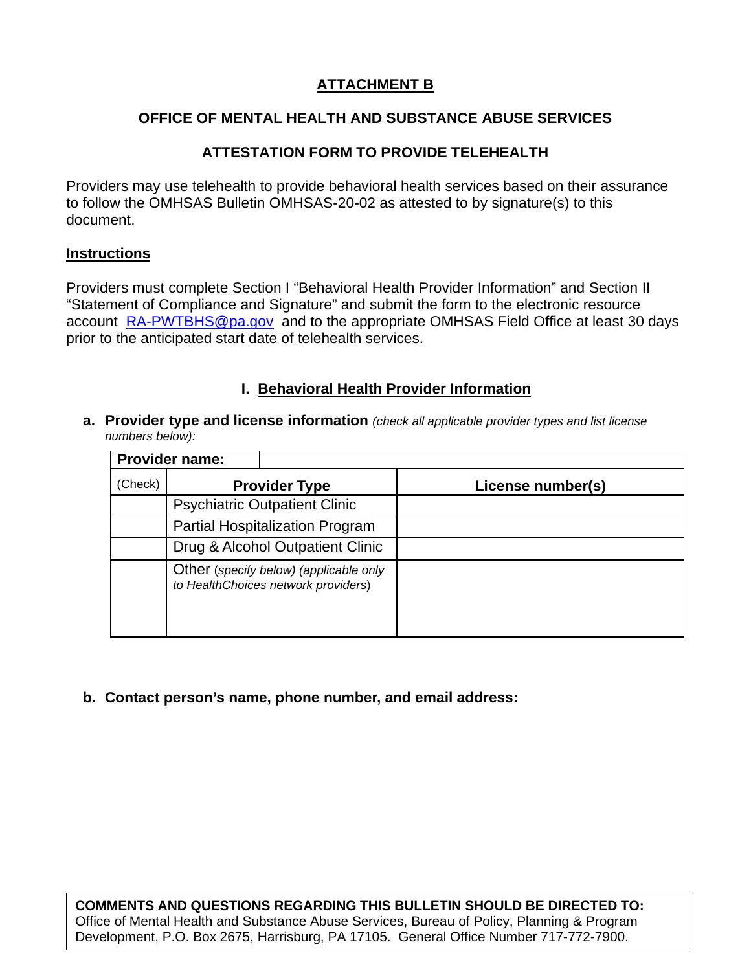### **ATTACHMENT B**

### **OFFICE OF MENTAL HEALTH AND SUBSTANCE ABUSE SERVICES**

#### **ATTESTATION FORM TO PROVIDE TELEHEALTH**

Providers may use telehealth to provide behavioral health services based on their assurance to follow the OMHSAS Bulletin OMHSAS-20-02 as attested to by signature(s) to this document.

#### **Instructions**

Providers must complete Section I "Behavioral Health Provider Information" and Section II "Statement of Compliance and Signature" and submit the form to the electronic resource account [RA-PWTBHS@pa.gov](mailto:RA-PWTBHS@pa.gov) and to the appropriate OMHSAS Field Office at least 30 days prior to the anticipated start date of telehealth services.

#### **I. Behavioral Health Provider Information**

**a. Provider type and license information** *(check all applicable provider types and list license numbers below):* 

|         | <b>Provider name:</b>                                                         |                   |
|---------|-------------------------------------------------------------------------------|-------------------|
| (Check) | <b>Provider Type</b>                                                          | License number(s) |
|         | <b>Psychiatric Outpatient Clinic</b>                                          |                   |
|         | <b>Partial Hospitalization Program</b>                                        |                   |
|         | Drug & Alcohol Outpatient Clinic                                              |                   |
|         | Other (specify below) (applicable only<br>to HealthChoices network providers) |                   |

**b. Contact person's name, phone number, and email address:**

**COMMENTS AND QUESTIONS REGARDING THIS BULLETIN SHOULD BE DIRECTED TO:**  Office of Mental Health and Substance Abuse Services, Bureau of Policy, Planning & Program Development, P.O. Box 2675, Harrisburg, PA 17105. General Office Number 717-772-7900.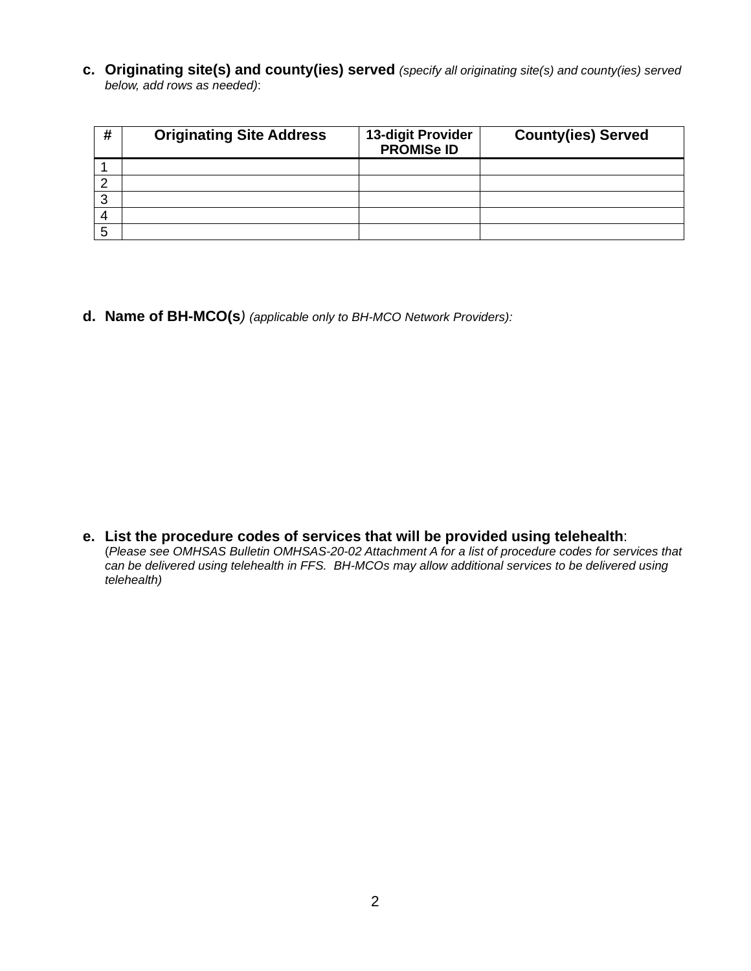**c. Originating site(s) and county(ies) served** *(specify all originating site(s) and county(ies) served below, add rows as needed)*:

| # | <b>Originating Site Address</b> | 13-digit Provider<br><b>PROMISe ID</b> | <b>County(ies) Served</b> |
|---|---------------------------------|----------------------------------------|---------------------------|
|   |                                 |                                        |                           |
|   |                                 |                                        |                           |
| ◠ |                                 |                                        |                           |
|   |                                 |                                        |                           |
|   |                                 |                                        |                           |

**d. Name of BH-MCO(s***) (applicable only to BH-MCO Network Providers):*

**e. List the procedure codes of services that will be provided using telehealth**: (*Please see OMHSAS Bulletin OMHSAS-20-02 Attachment A for a list of procedure codes for services that can be delivered using telehealth in FFS. BH-MCOs may allow additional services to be delivered using telehealth)*